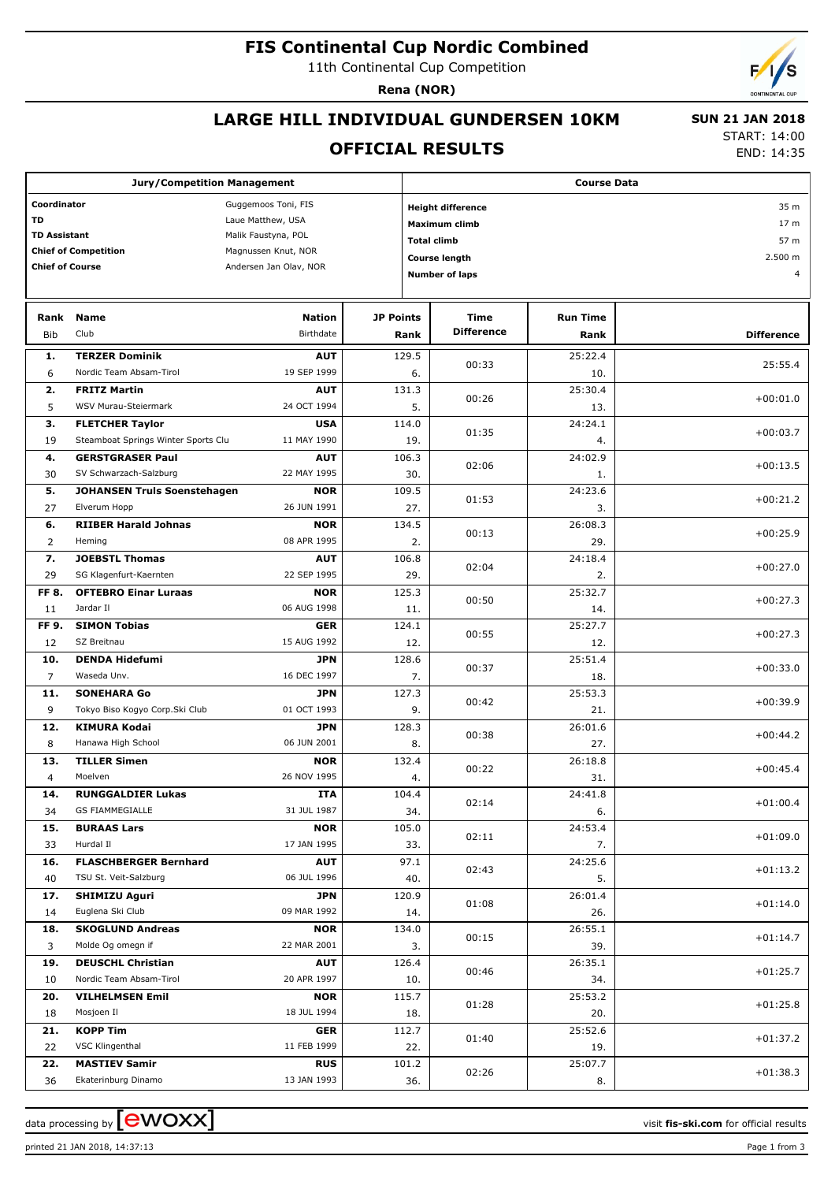# **FIS Continental Cup Nordic Combined**

11th Continental Cup Competition

**Rena (NOR)**

## **LARGE HILL INDIVIDUAL GUNDERSEN 10KM**

## **OFFICIAL RESULTS**

 **SUN 21 JAN 2018** START: 14:00

END: 14:35

| <b>Jury/Competition Management</b>                 |                                                              |                           |                          | <b>Course Data</b>    |                 |                   |  |  |
|----------------------------------------------------|--------------------------------------------------------------|---------------------------|--------------------------|-----------------------|-----------------|-------------------|--|--|
| Coordinator<br>Guggemoos Toni, FIS                 |                                                              |                           | <b>Height difference</b> |                       |                 |                   |  |  |
| TD<br>Laue Matthew, USA                            |                                                              |                           |                          |                       | 35 m            |                   |  |  |
| <b>TD Assistant</b><br>Malik Faustyna, POL         |                                                              |                           |                          | Maximum climb         | 17 <sub>m</sub> |                   |  |  |
| <b>Chief of Competition</b><br>Magnussen Knut, NOR |                                                              |                           |                          | <b>Total climb</b>    | 57 m            |                   |  |  |
| <b>Chief of Course</b>                             |                                                              | Andersen Jan Olav, NOR    |                          | <b>Course length</b>  |                 | 2.500 m           |  |  |
|                                                    |                                                              |                           |                          | <b>Number of laps</b> | $\overline{4}$  |                   |  |  |
|                                                    |                                                              |                           |                          |                       |                 |                   |  |  |
| Rank                                               | <b>Name</b>                                                  | <b>Nation</b>             | <b>JP Points</b>         | Time                  | <b>Run Time</b> |                   |  |  |
| Bib                                                | Club                                                         | Birthdate                 | Rank                     | <b>Difference</b>     | Rank            | <b>Difference</b> |  |  |
| 1.                                                 | <b>TERZER Dominik</b>                                        | <b>AUT</b>                | 129.5                    |                       | 25:22.4         |                   |  |  |
| 6                                                  | Nordic Team Absam-Tirol                                      | 19 SEP 1999               | 6.                       | 00:33                 | 10.             | 25:55.4           |  |  |
| 2.                                                 | <b>FRITZ Martin</b>                                          | <b>AUT</b>                | 131.3                    | 00:26                 | 25:30.4         | $+00:01.0$        |  |  |
| 5                                                  | WSV Murau-Steiermark                                         | 24 OCT 1994               | 5.                       |                       | 13.             |                   |  |  |
| з.                                                 | <b>FLETCHER Taylor</b>                                       | <b>USA</b>                | 114.0                    | 01:35                 | 24:24.1         | $+00:03.7$        |  |  |
| 19                                                 | Steamboat Springs Winter Sports Clu                          | 11 MAY 1990               | 19.                      |                       | 4.              |                   |  |  |
| 4.                                                 | <b>GERSTGRASER Paul</b>                                      | <b>AUT</b>                | 106.3                    | 02:06                 | 24:02.9         | $+00:13.5$        |  |  |
| 30<br>5.                                           | SV Schwarzach-Salzburg<br><b>JOHANSEN Truls Soenstehagen</b> | 22 MAY 1995<br><b>NOR</b> | 30.<br>109.5             |                       | 1.<br>24:23.6   |                   |  |  |
| 27                                                 | Elverum Hopp                                                 | 26 JUN 1991               | 27.                      | 01:53                 | 3.              | $+00:21.2$        |  |  |
| 6.                                                 | <b>RIIBER Harald Johnas</b>                                  | <b>NOR</b>                | 134.5                    |                       | 26:08.3         |                   |  |  |
| 2                                                  | Heming                                                       | 08 APR 1995               | 2.                       | 00:13                 | 29.             | $+00:25.9$        |  |  |
| 7.                                                 | <b>JOEBSTL Thomas</b>                                        | <b>AUT</b>                | 106.8                    |                       | 24:18.4         |                   |  |  |
| 29                                                 | SG Klagenfurt-Kaernten                                       | 22 SEP 1995               | 29.                      | 02:04                 | 2.              | $+00:27.0$        |  |  |
| FF 8.                                              | <b>OFTEBRO Einar Luraas</b>                                  | <b>NOR</b>                | 125.3                    | 00:50                 | 25:32.7         | $+00:27.3$        |  |  |
| 11                                                 | Jardar II                                                    | 06 AUG 1998               | 11.                      |                       | 14.             |                   |  |  |
| FF 9.                                              | <b>SIMON Tobias</b>                                          | <b>GER</b>                | 124.1                    | 00:55                 | 25:27.7         | $+00:27.3$        |  |  |
| 12                                                 | SZ Breitnau                                                  | 15 AUG 1992               | 12.                      |                       | 12.             |                   |  |  |
| 10.                                                | <b>DENDA Hidefumi</b>                                        | <b>JPN</b>                | 128.6                    | 00:37                 | 25:51.4         | $+00:33.0$        |  |  |
| $\overline{7}$                                     | Waseda Unv.                                                  | 16 DEC 1997               | 7.                       |                       | 18.             |                   |  |  |
| 11.<br>9                                           | <b>SONEHARA Go</b><br>Tokyo Biso Kogyo Corp.Ski Club         | <b>JPN</b><br>01 OCT 1993 | 127.3<br>9.              | 00:42                 | 25:53.3         | $+00:39.9$        |  |  |
| 12.                                                | <b>KIMURA Kodai</b>                                          | <b>JPN</b>                | 128.3                    |                       | 21.<br>26:01.6  |                   |  |  |
| 8                                                  | Hanawa High School                                           | 06 JUN 2001               | 8.                       | 00:38                 | 27.             | $+00:44.2$        |  |  |
| 13.                                                | <b>TILLER Simen</b>                                          | <b>NOR</b>                | 132.4                    |                       | 26:18.8         |                   |  |  |
| 4                                                  | Moelven                                                      | 26 NOV 1995               | 4.                       | 00:22                 | 31.             | $+00:45.4$        |  |  |
| 14.                                                | <b>RUNGGALDIER Lukas</b>                                     | ITA                       | 104.4                    |                       | 24:41.8         |                   |  |  |
| 34                                                 | GS FIAMMEGIALLE                                              | 31 JUL 1987               | 34.                      | 02:14                 | 6.              | $+01:00.4$        |  |  |
| 15.                                                | <b>BURAAS Lars</b>                                           | <b>NOR</b>                | 105.0                    | 02:11                 | 24:53.4         | $+01:09.0$        |  |  |
| 33                                                 | Hurdal II                                                    | 17 JAN 1995               | 33.                      |                       | 7.              |                   |  |  |
| 16.                                                | <b>FLASCHBERGER Bernhard</b>                                 | <b>AUT</b>                | 97.1                     | 02:43                 | 24:25.6         | $+01:13.2$        |  |  |
| 40                                                 | TSU St. Veit-Salzburg                                        | 06 JUL 1996               | 40.                      |                       | 5.              |                   |  |  |
| 17.                                                | <b>SHIMIZU Aguri</b>                                         | <b>JPN</b>                | 120.9                    | 01:08                 | 26:01.4         | $+01:14.0$        |  |  |
| 14<br>18.                                          | Euglena Ski Club<br><b>SKOGLUND Andreas</b>                  | 09 MAR 1992<br><b>NOR</b> | 14.<br>134.0             |                       | 26.<br>26:55.1  |                   |  |  |
| 3                                                  | Molde Og omegn if                                            | 22 MAR 2001               | 3.                       | 00:15                 | 39.             | $+01:14.7$        |  |  |
| 19.                                                | <b>DEUSCHL Christian</b>                                     | <b>AUT</b>                | 126.4                    |                       | 26:35.1         |                   |  |  |
| 10                                                 | Nordic Team Absam-Tirol                                      | 20 APR 1997               | 10.                      | 00:46                 | 34.             | $+01:25.7$        |  |  |
| 20.                                                | <b>VILHELMSEN Emil</b>                                       | <b>NOR</b>                | 115.7                    |                       | 25:53.2         |                   |  |  |
| 18                                                 | Mosjoen Il                                                   | 18 JUL 1994               | 18.                      | 01:28                 | 20.             | $+01:25.8$        |  |  |
| 21.                                                | <b>KOPP Tim</b>                                              | <b>GER</b>                | 112.7                    | 01:40                 | 25:52.6         | $+01:37.2$        |  |  |
| 22                                                 | VSC Klingenthal                                              | 11 FEB 1999               | 22.                      |                       | 19.             |                   |  |  |
| 22.                                                | <b>MASTIEV Samir</b>                                         | <b>RUS</b>                | 101.2                    | 02:26                 | 25:07.7         | $+01:38.3$        |  |  |
| 36                                                 | Ekaterinburg Dinamo                                          | 13 JAN 1993               | 36.                      |                       | 8.              |                   |  |  |

printed 21 JAN 2018, 14:37:13 Page 1 from 3

data processing by **CWOXX** and  $\overline{C}$  and  $\overline{C}$  and  $\overline{C}$  and  $\overline{C}$  and  $\overline{C}$  and  $\overline{C}$  and  $\overline{C}$  and  $\overline{C}$  and  $\overline{C}$  and  $\overline{C}$  and  $\overline{C}$  and  $\overline{C}$  and  $\overline{C}$  and  $\overline{C}$  and  $\overline{C}$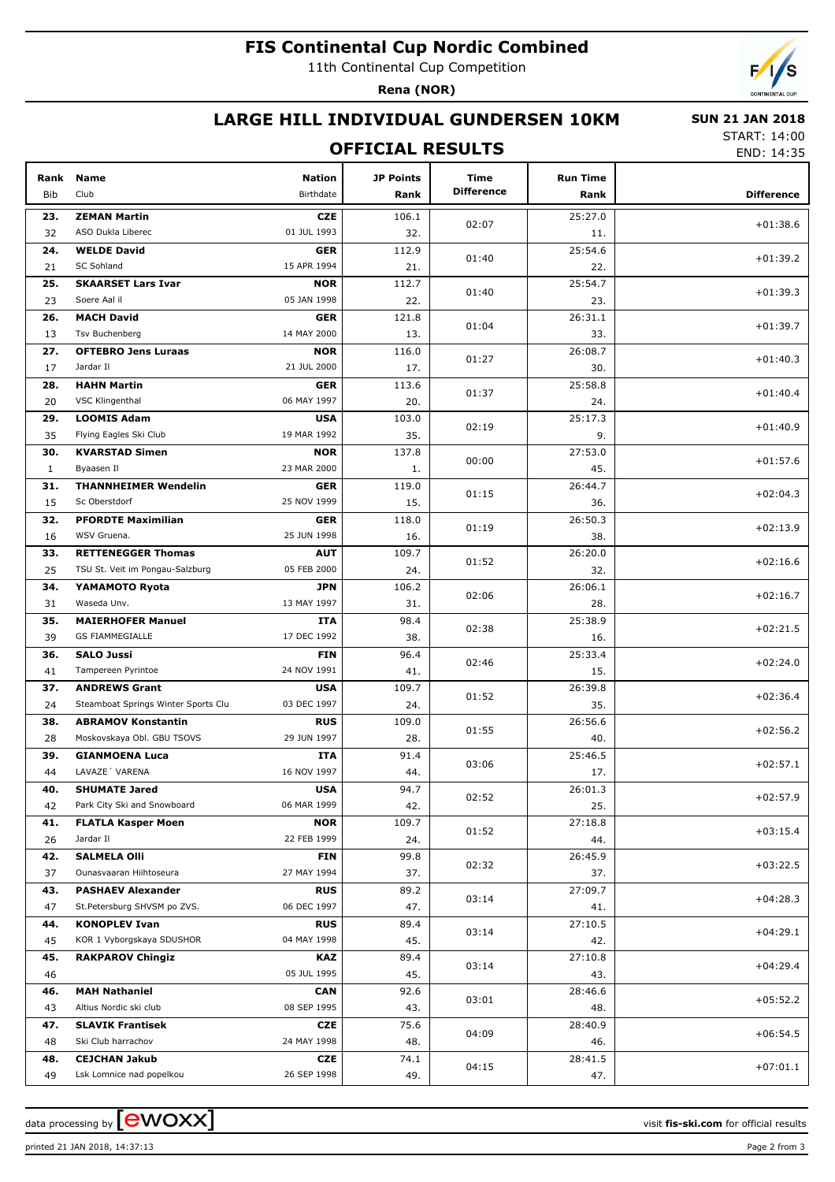# **FIS Continental Cup Nordic Combined**

11th Continental Cup Competition

**Rena (NOR)**



## **LARGE HILL INDIVIDUAL GUNDERSEN 10KM**

### **OFFICIAL RESULTS**

 **SUN 21 JAN 2018** START: 14:00

END: 14:35

| Rank<br><b>Bib</b> | <b>Name</b><br>Club                 | <b>Nation</b><br>Birthdate | <b>JP Points</b><br>Rank | Time<br><b>Difference</b> | <b>Run Time</b><br>Rank | <b>Difference</b> |
|--------------------|-------------------------------------|----------------------------|--------------------------|---------------------------|-------------------------|-------------------|
| 23.                | <b>ZEMAN Martin</b>                 | <b>CZE</b>                 | 106.1                    |                           | 25:27.0                 |                   |
| 32                 | ASO Dukla Liberec                   | 01 JUL 1993                | 32.                      | 02:07                     | 11.                     | $+01:38.6$        |
| 24.                | <b>WELDE David</b>                  | <b>GER</b>                 | 112.9                    |                           | 25:54.6                 |                   |
| 21                 | SC Sohland                          | 15 APR 1994                | 21.                      | 01:40                     | 22.                     | $+01:39.2$        |
| 25.                | <b>SKAARSET Lars Ivar</b>           | <b>NOR</b>                 | 112.7                    |                           | 25:54.7                 |                   |
| 23                 | Soere Aal il                        | 05 JAN 1998                | 22.                      | 01:40                     | 23.                     | $+01:39.3$        |
| 26.                | <b>MACH David</b>                   | <b>GER</b>                 | 121.8                    |                           | 26:31.1                 |                   |
| 13                 | Tsv Buchenberg                      | 14 MAY 2000                | 13.                      | 01:04                     | 33.                     | $+01:39.7$        |
| 27.                | <b>OFTEBRO Jens Luraas</b>          | <b>NOR</b>                 | 116.0                    |                           | 26:08.7                 |                   |
| 17                 | Jardar II                           | 21 JUL 2000                | 17.                      | 01:27                     | 30.                     | $+01:40.3$        |
| 28.                | <b>HAHN Martin</b>                  | <b>GER</b>                 | 113.6                    |                           | 25:58.8                 |                   |
| 20                 | VSC Klingenthal                     | 06 MAY 1997                | 20.                      | 01:37                     | 24.                     | $+01:40.4$        |
| 29.                | <b>LOOMIS Adam</b>                  | <b>USA</b>                 | 103.0                    |                           | 25:17.3                 |                   |
| 35                 | Flying Eagles Ski Club              | 19 MAR 1992                | 35.                      | 02:19                     | 9.                      | $+01:40.9$        |
| 30.                | <b>KVARSTAD Simen</b>               | <b>NOR</b>                 | 137.8                    |                           | 27:53.0                 |                   |
| $\mathbf{1}$       | Byaasen Il                          | 23 MAR 2000                | 1.                       | 00:00                     | 45.                     | $+01:57.6$        |
| 31.                | <b>THANNHEIMER Wendelin</b>         | <b>GER</b>                 | 119.0                    |                           | 26:44.7                 |                   |
| 15                 | Sc Oberstdorf                       | 25 NOV 1999                | 15.                      | 01:15                     | 36.                     | $+02:04.3$        |
| 32.                | <b>PFORDTE Maximilian</b>           | <b>GER</b>                 | 118.0                    |                           | 26:50.3                 |                   |
| 16                 | WSV Gruena.                         | 25 JUN 1998                | 16.                      | 01:19                     | 38.                     | $+02:13.9$        |
| 33.                | <b>RETTENEGGER Thomas</b>           | <b>AUT</b>                 | 109.7                    |                           | 26:20.0                 |                   |
| 25                 | TSU St. Veit im Pongau-Salzburg     | 05 FEB 2000                | 24.                      | 01:52                     | 32.                     | $+02:16.6$        |
| 34.                | YAMAMOTO Ryota                      | <b>JPN</b>                 | 106.2                    |                           | 26:06.1                 |                   |
| 31                 | Waseda Unv.                         | 13 MAY 1997                | 31.                      | 02:06                     | 28.                     | $+02:16.7$        |
| 35.                | <b>MAIERHOFER Manuel</b>            | <b>ITA</b>                 | 98.4                     |                           | 25:38.9                 |                   |
| 39                 | <b>GS FIAMMEGIALLE</b>              | 17 DEC 1992                | 38.                      | 02:38                     | 16.                     | $+02:21.5$        |
| 36.                | <b>SALO Jussi</b>                   | <b>FIN</b>                 | 96.4                     |                           | 25:33.4                 |                   |
| 41                 | Tampereen Pyrintoe                  | 24 NOV 1991                | 41.                      | 02:46                     | 15.                     | $+02:24.0$        |
| 37.                | <b>ANDREWS Grant</b>                | <b>USA</b>                 | 109.7                    |                           | 26:39.8                 |                   |
| 24                 | Steamboat Springs Winter Sports Clu | 03 DEC 1997                | 24.                      | 01:52                     | 35.                     | $+02:36.4$        |
| 38.                | <b>ABRAMOV Konstantin</b>           | <b>RUS</b>                 | 109.0                    |                           | 26:56.6                 |                   |
| 28                 | Moskovskaya Obl. GBU TSOVS          | 29 JUN 1997                | 28.                      | 01:55                     | 40.                     | $+02:56.2$        |
| 39.                | <b>GIANMOENA Luca</b>               | <b>ITA</b>                 | 91.4                     |                           | 25:46.5                 |                   |
| 44                 | LAVAZE 'VARENA                      | 16 NOV 1997                | 44.                      | 03:06                     | 17.                     | $+02:57.1$        |
| 40.                | <b>SHUMATE Jared</b>                | <b>USA</b>                 | 94.7                     |                           | 26:01.3                 |                   |
| 42                 | Park City Ski and Snowboard         | 06 MAR 1999                | 42.                      | 02:52                     | 25.                     | $+02:57.9$        |
| 41.                | <b>FLATLA Kasper Moen</b>           | <b>NOR</b>                 | 109.7                    | 01:52                     | 27:18.8                 | $+03:15.4$        |
| 26                 | Jardar II                           | 22 FEB 1999                | 24.                      |                           | 44.                     |                   |
| 42.                | <b>SALMELA Olli</b>                 | <b>FIN</b>                 | 99.8                     |                           | 26:45.9                 | $+03:22.5$        |
| 37                 | Ounasvaaran Hiihtoseura             | 27 MAY 1994                | 37.                      | 02:32                     | 37.                     |                   |
| 43.                | <b>PASHAEV Alexander</b>            | <b>RUS</b>                 | 89.2                     | 03:14                     | 27:09.7                 |                   |
| 47                 | St.Petersburg SHVSM po ZVS.         | 06 DEC 1997                | 47.                      |                           | 41.                     | $+04:28.3$        |
| 44.                | <b>KONOPLEV Ivan</b>                | <b>RUS</b>                 | 89.4                     |                           | 27:10.5                 |                   |
| 45                 | KOR 1 Vyborgskaya SDUSHOR           | 04 MAY 1998                | 45.                      | 03:14                     | 42.                     | $+04:29.1$        |
| 45.                | <b>RAKPAROV Chingiz</b>             | <b>KAZ</b>                 | 89.4                     | 03:14                     | 27:10.8                 | $+04:29.4$        |
| 46                 |                                     | 05 JUL 1995                | 45.                      |                           | 43.                     |                   |
| 46.                | <b>MAH Nathaniel</b>                | <b>CAN</b>                 | 92.6                     | 03:01                     | 28:46.6                 | $+05:52.2$        |
| 43                 | Altius Nordic ski club              | 08 SEP 1995                | 43.                      |                           | 48.                     |                   |
| 47.                | <b>SLAVIK Frantisek</b>             | <b>CZE</b>                 | 75.6                     | 04:09                     | 28:40.9                 | $+06:54.5$        |
| 48                 | Ski Club harrachov                  | 24 MAY 1998                | 48.                      |                           | 46.                     |                   |
| 48.                | <b>CEJCHAN Jakub</b>                | <b>CZE</b>                 | 74.1                     |                           | 28:41.5                 | $+07:01.1$        |
| 49                 | Lsk Lomnice nad popelkou            | 26 SEP 1998                | 49.                      | 04:15                     | 47.                     |                   |

printed 21 JAN 2018, 14:37:13 Page 2 from 3

data processing by **CWOXX** and  $\overline{A}$  and  $\overline{B}$  wisit **fis-ski.com** for official results